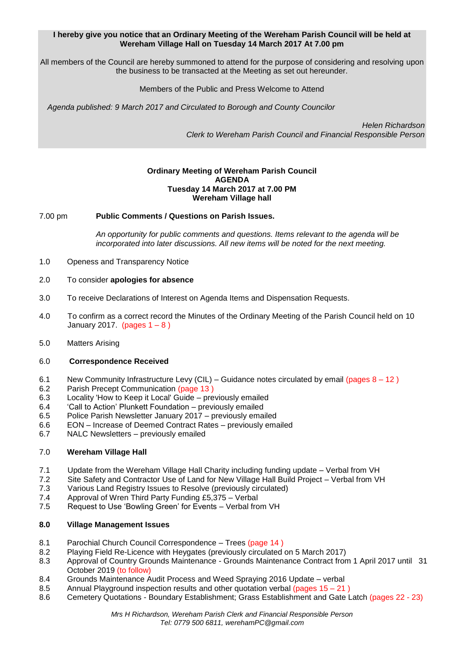# **I hereby give you notice that an Ordinary Meeting of the Wereham Parish Council will be held at Wereham Village Hall on Tuesday 14 March 2017 At 7.00 pm**

All members of the Council are hereby summoned to attend for the purpose of considering and resolving upon the business to be transacted at the Meeting as set out hereunder.

Members of the Public and Press Welcome to Attend

*Agenda published: 9 March 2017 and Circulated to Borough and County Councilor* 

 *Helen Richardson Clerk to Wereham Parish Council and Financial Responsible Person*

## **Ordinary Meeting of Wereham Parish Council AGENDA Tuesday 14 March 2017 at 7.00 PM Wereham Village hall**

7.00 pm **Public Comments / Questions on Parish Issues.**

*An opportunity for public comments and questions. Items relevant to the agenda will be incorporated into later discussions. All new items will be noted for the next meeting.*

1.0 Openess and Transparency Notice

# 2.0 To consider **apologies for absence**

- 3.0 To receive Declarations of Interest on Agenda Items and Dispensation Requests.
- 4.0 To confirm as a correct record the Minutes of the Ordinary Meeting of the Parish Council held on 10 January 2017. (pages  $1 - 8$ )
- 5.0 Matters Arising

#### 6.0 **Correspondence Received**

- 6.1 New Community Infrastructure Levy (CIL) Guidance notes circulated by email (pages  $8 12$ )
- 6.2 Parish Precept Communication (page 13 )
- 6.3 Locality 'How to Keep it Local' Guide previously emailed
- 6.4 'Call to Action' Plunkett Foundation previously emailed
- 6.5 Police Parish Newsletter January 2017 previously emailed
- 6.6 EON Increase of Deemed Contract Rates previously emailed
- 6.7 NALC Newsletters previously emailed

#### 7.0 **Wereham Village Hall**

- 7.1 Update from the Wereham Village Hall Charity including funding update Verbal from VH
- 7.2 Site Safety and Contractor Use of Land for New Village Hall Build Project Verbal from VH
- 7.3 Various Land Registry Issues to Resolve (previously circulated)
- 7.4 Approval of Wren Third Party Funding £5,375 Verbal
- 7.5 Request to Use 'Bowling Green' for Events Verbal from VH

# **8.0 Village Management Issues**

- 8.1 Parochial Church Council Correspondence Trees (page 14)
- 8.2 Playing Field Re-Licence with Heygates (previously circulated on 5 March 2017)
- 8.3 Approval of Country Grounds Maintenance Grounds Maintenance Contract from 1 April 2017 until 31 October 2019 (to follow)
- 8.4 Grounds Maintenance Audit Process and Weed Spraying 2016 Update verbal
- 8.5 Annual Playground inspection results and other quotation verbal (pages 15 21 )
- 8.6 Cemetery Quotations Boundary Establishment; Grass Establishment and Gate Latch (pages 22 23)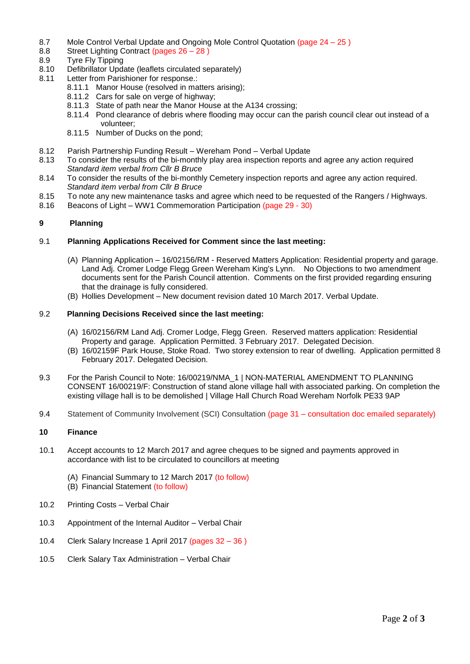- 8.7 Mole Control Verbal Update and Ongoing Mole Control Quotation (page 24 25 )
- 8.8 Street Lighting Contract (pages 26 28 )
- 8.9 Tyre Fly Tipping
- 8.10 Defibrillator Update (leaflets circulated separately)
- 8.11 Letter from Parishioner for response.:
	- 8.11.1 Manor House (resolved in matters arising);
	- 8.11.2 Cars for sale on verge of highway;
	- 8.11.3 State of path near the Manor House at the A134 crossing;
	- 8.11.4 Pond clearance of debris where flooding may occur can the parish council clear out instead of a volunteer;
	- 8.11.5 Number of Ducks on the pond;
- 8.12 Parish Partnership Funding Result Wereham Pond Verbal Update<br>8.13 To consider the results of the bi-monthly play area inspection reports a
- To consider the results of the bi-monthly play area inspection reports and agree any action required *Standard item verbal from Cllr B Bruce*
- 8.14 To consider the results of the bi-monthly Cemetery inspection reports and agree any action required. *Standard item verbal from Cllr B Bruce*
- 8.15 To note any new maintenance tasks and agree which need to be requested of the Rangers / Highways.
- 8.16 Beacons of Light WW1 Commemoration Participation (page 29 30)

# **9 Planning**

#### 9.1 **Planning Applications Received for Comment since the last meeting:**

- (A) Planning Application 16/02156/RM Reserved Matters Application: Residential property and garage. Land Adj. Cromer Lodge Flegg Green Wereham King's Lynn. No Objections to two amendment documents sent for the Parish Council attention. Comments on the first provided regarding ensuring that the drainage is fully considered.
- (B) Hollies Development New document revision dated 10 March 2017. Verbal Update.

#### 9.2 **Planning Decisions Received since the last meeting:**

- (A) 16/02156/RM Land Adj. Cromer Lodge, Flegg Green. Reserved matters application: Residential Property and garage. Application Permitted. 3 February 2017. Delegated Decision.
- (B) 16/02159F Park House, Stoke Road. Two storey extension to rear of dwelling. Application permitted 8 February 2017. Delegated Decision.
- 9.3 For the Parish Council to Note: 16/00219/NMA\_1 | NON-MATERIAL AMENDMENT TO PLANNING CONSENT 16/00219/F: Construction of stand alone village hall with associated parking. On completion the existing village hall is to be demolished | Village Hall Church Road Wereham Norfolk PE33 9AP
- 9.4 Statement of Community Involvement (SCI) Consultation (page 31 consultation doc emailed separately)

## **10 Finance**

- 10.1 Accept accounts to 12 March 2017 and agree cheques to be signed and payments approved in accordance with list to be circulated to councillors at meeting
	- (A) Financial Summary to 12 March 2017 (to follow)
	- (B) Financial Statement (to follow)
- 10.2 Printing Costs Verbal Chair
- 10.3 Appointment of the Internal Auditor Verbal Chair
- 10.4 Clerk Salary Increase 1 April 2017 (pages 32 36 )
- 10.5 Clerk Salary Tax Administration Verbal Chair